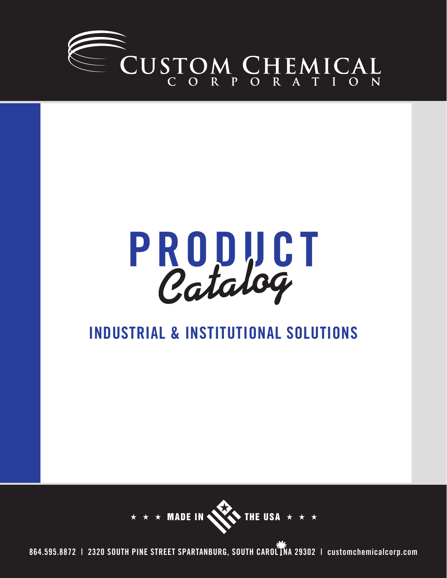

# **PRODUCT**

#### **INDUSTRIAL & INSTITUTIONAL SOLUTIONS**



**864.595.8872 | 2320 SOUTH PINE STREET SPARTANBURG, SOUTH CAROL NA 29302 | customchemicalcorp.com**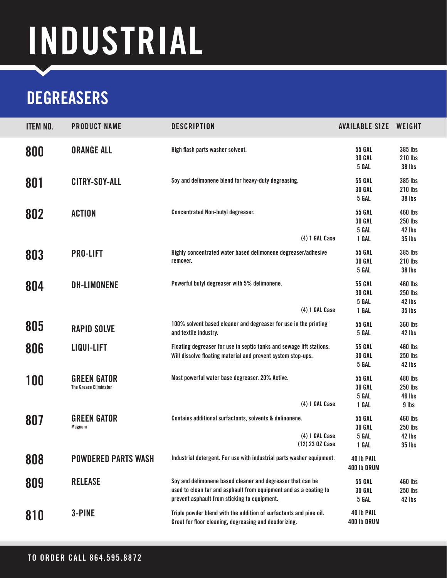## **INDUSTRIAL**

#### **DEGREASERS**

| <b>ITEM NO.</b> | <b>PRODUCT NAME</b>                                | <b>DESCRIPTION</b>                                                                                                                                                              | <b>AVAILABLE SIZE WEIGHT</b>                              |                                                               |
|-----------------|----------------------------------------------------|---------------------------------------------------------------------------------------------------------------------------------------------------------------------------------|-----------------------------------------------------------|---------------------------------------------------------------|
| 800             | <b>ORANGE ALL</b>                                  | High flash parts washer solvent.                                                                                                                                                | <b>55 GAL</b><br><b>30 GAL</b><br>5 GAL                   | 385 lbs<br><b>210 lbs</b><br><b>38 lbs</b>                    |
| 801             | <b>CITRY-SOY-ALL</b>                               | Soy and delimonene blend for heavy-duty degreasing.                                                                                                                             | <b>55 GAL</b><br><b>30 GAL</b><br>5 GAL                   | 385 lbs<br><b>210 lbs</b><br><b>38 lbs</b>                    |
| 802             | <b>ACTION</b>                                      | <b>Concentrated Non-butyl degreaser.</b>                                                                                                                                        | <b>55 GAL</b><br><b>30 GAL</b><br>5 GAL                   | <b>460 lbs</b><br><b>250 lbs</b><br>42 lbs                    |
| 803             | <b>PRO-LIFT</b>                                    | $(4)$ 1 GAL Case<br>Highly concentrated water based delimonene degreaser/adhesive<br>remover.                                                                                   | 1 GAL<br><b>55 GAL</b><br><b>30 GAL</b><br>5 GAL          | <b>35 lbs</b><br>385 lbs<br><b>210 lbs</b><br><b>38 lbs</b>   |
| 804             | <b>DH-LIMONENE</b>                                 | Powerful butyl degreaser with 5% delimonene.<br>$(4)$ 1 GAL Case                                                                                                                | <b>55 GAL</b><br><b>30 GAL</b><br>5 GAL<br>1 GAL          | <b>460 lbs</b><br><b>250 lbs</b><br>42 lbs<br><b>35 lbs</b>   |
| 805             | <b>RAPID SOLVE</b>                                 | 100% solvent based cleaner and degreaser for use in the printing<br>and textile industry.                                                                                       | <b>55 GAL</b><br>5 GAL                                    | <b>360 lbs</b><br>42 lbs                                      |
| 806             | <b>LIQUI-LIFT</b>                                  | Floating degreaser for use in septic tanks and sewage lift stations.<br>Will dissolve floating material and prevent system stop-ups.                                            | <b>55 GAL</b><br><b>30 GAL</b><br>5 GAL                   | <b>460 lbs</b><br><b>250 lbs</b><br>42 lbs                    |
| 100             | <b>GREEN GATOR</b><br><b>The Grease Eliminator</b> | Most powerful water base degreaser. 20% Active.                                                                                                                                 | <b>55 GAL</b><br><b>30 GAL</b><br>5 GAL                   | <b>480 lbs</b><br><b>250 lbs</b><br>46 lbs                    |
| 807             | <b>GREEN GATOR</b><br>Magnum                       | $(4)$ 1 GAL Case<br>Contains additional surfactants, solvents & delinonene.<br>$(4)$ 1 GAL Case<br>(12) 23 0Z Case                                                              | 1 GAL<br><b>55 GAL</b><br><b>30 GAL</b><br>5 GAL<br>1 GAL | 9 lbs<br><b>460 lbs</b><br><b>250 lbs</b><br>42 lbs<br>35 lbs |
| 808             | <b>POWDERED PARTS WASH</b>                         | Industrial detergent. For use with industrial parts washer equipment.                                                                                                           | 40 lb PAIL<br>400 lb DRUM                                 |                                                               |
| 809             | <b>RELEASE</b>                                     | Soy and delimonene based cleaner and degreaser that can be<br>used to clean tar and asphault from equipment and as a coating to<br>prevent asphault from sticking to equipment. | <b>55 GAL</b><br><b>30 GAL</b><br>5 GAL                   | <b>460 lbs</b><br><b>250 lbs</b><br>42 lbs                    |
| 810             | 3-PINE                                             | Triple powder blend with the addition of surfactants and pine oil.<br>Great for floor cleaning, degreasing and deodorizing.                                                     | 40 lb PAIL<br>400 lb DRUM                                 |                                                               |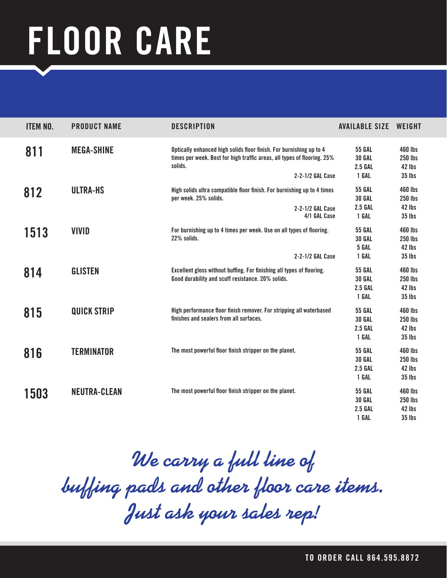### **floor care**

| <b>ITEM NO.</b> | <b>PRODUCT NAME</b> | <b>DESCRIPTION</b>                                                                                                                                                            | <b>AVAILABLE SIZE WEIGHT</b>                                |                                                                         |
|-----------------|---------------------|-------------------------------------------------------------------------------------------------------------------------------------------------------------------------------|-------------------------------------------------------------|-------------------------------------------------------------------------|
| 811             | <b>MEGA-SHINE</b>   | Optically enhanced high solids floor finish. For burnishing up to 4<br>times per week. Best for high traffic areas, all types of flooring. 25%<br>solids.<br>2-2-1/2 GAL Case | <b>55 GAL</b><br><b>30 GAL</b><br>2.5 GAL                   | <b>460 lbs</b><br><b>250 lbs</b><br>42 lbs                              |
| 812             | <b>ULTRA-HS</b>     | High solids ultra compatible floor finish. For burnishing up to 4 times<br>per week. 25% solids.<br>2-2-1/2 GAL Case<br>4/1 GAL Case                                          | 1 GAL<br><b>55 GAL</b><br><b>30 GAL</b><br>2.5 GAL<br>1 GAL | $35$ lbs<br><b>460 lbs</b><br><b>250 lbs</b><br>42 lbs<br>35 lbs        |
| 1513            | <b>VIVID</b>        | For burnishing up to 4 times per week. Use on all types of flooring.<br>22% solids.                                                                                           | <b>55 GAL</b><br><b>30 GAL</b><br><b>5 GAL</b>              | <b>460 lbs</b><br><b>250 lbs</b><br>42 lbs                              |
| 814             | <b>GLISTEN</b>      | 2-2-1/2 GAL Case<br>Excellent gloss without buffing. For finishing all types of flooring.<br>Good durability and scuff resistance. 20% solids.                                | 1 GAL<br><b>55 GAL</b><br><b>30 GAL</b><br>2.5 GAL          | 35 lbs<br><b>460 lbs</b><br><b>250 lbs</b><br>42 lbs                    |
| 815             | <b>QUICK STRIP</b>  | High performance floor finish remover. For stripping all waterbased<br>finishes and sealers from all surfaces.                                                                | 1 GAL<br><b>55 GAL</b><br><b>30 GAL</b><br>2.5 GAL          | <b>35 lbs</b><br><b>460 lbs</b><br><b>250 lbs</b><br>42 lbs             |
| 816             | <b>TERMINATOR</b>   | The most powerful floor finish stripper on the planet.                                                                                                                        | 1 GAL<br><b>55 GAL</b><br><b>30 GAL</b><br>2.5 GAL          | <b>35 lbs</b><br><b>460 lbs</b><br><b>250 lbs</b><br>42 lbs             |
| 1503            | <b>NEUTRA-CLEAN</b> | The most powerful floor finish stripper on the planet.                                                                                                                        | 1 GAL<br><b>55 GAL</b><br><b>30 GAL</b><br>2.5 GAL<br>1 GAL | <b>35 lbs</b><br><b>460 lbs</b><br><b>250 lbs</b><br>42 lbs<br>$35$ lbs |

**We carry a full line of buffing pads and other floor care items. Just ask your sales rep!**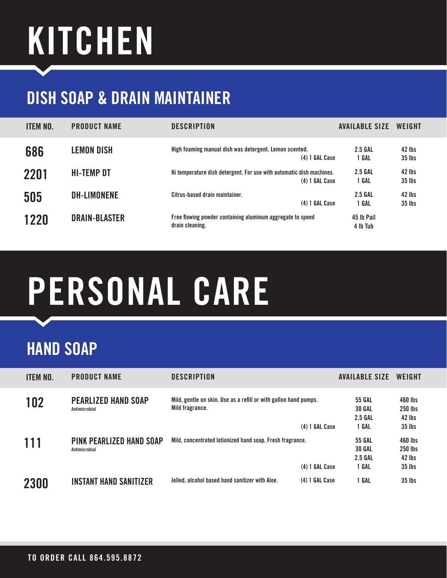## **kitchen**

#### **Dish soap & drain maintainer**

| <b>ITEM NO.</b> | <b>PRODUCT NAME</b>  | <b>DESCRIPTION</b>                                                                       | <b>AVAILABLE SIZE</b>   | WEIGHT             |
|-----------------|----------------------|------------------------------------------------------------------------------------------|-------------------------|--------------------|
| 686             | <b>LEMON DISH</b>    | High foaming manual dish was detergent. Lemon scented.<br>$(4)$ 1 GAL Case               | <b>2.5 GAL</b><br>1 GAL | 42 lbs<br>$35$ lbs |
| 2201            | <b>HI-TEMP DT</b>    | Hi temperature dish detergent. For use with automatic dish machines.<br>$(4)$ 1 GAL Case | <b>2.5 GAL</b><br>1 GAL | 42 lbs<br>$35$ lbs |
| 505             | <b>DH-LIMONENE</b>   | Citrus-based drain maintainer.<br>$(4)$ 1 GAL Case                                       | 2.5 GAL<br>1 GAL        | 42 lbs<br>$35$ lbs |
| 1220            | <b>DRAIN-BLASTER</b> | Free flowing powder containing aluminum aggregate to speed<br>drain cleaning.            | 45 lb Pail<br>4 lb Tub  |                    |

### **Personal care**

#### **Hand soap**

| <b>ITEM NO.</b> | <b>PRODUCT NAME</b>                              | <b>DESCRIPTION</b>                                                                  |                  | <b>AVAILABLE SIZE</b>                              | WEIGHT                                                 |
|-----------------|--------------------------------------------------|-------------------------------------------------------------------------------------|------------------|----------------------------------------------------|--------------------------------------------------------|
| 102             | <b>PEARLIZED HAND SOAP</b><br>Antimicrobial      | Mild, gentle on skin. Use as a refill or with gallon hand pumps.<br>Mild fragrance. | $(4)$ 1 GAL Case | <b>55 GAL</b><br><b>30 GAL</b><br>2.5 GAL<br>1 GAL | 460 lbs<br><b>250 lbs</b><br>42 lbs<br>$35$ lbs        |
| 111             | <b>PINK PEARLIZED HAND SOAP</b><br>Antimicrobial | Mild, concentrated lotionized hand soap. Fresh fragrance.                           | $(4)$ 1 GAL Case | <b>55 GAL</b><br><b>30 GAL</b><br>2.5 GAL<br>1 GAL | <b>460 lbs</b><br><b>250 lbs</b><br>42 lbs<br>$35$ lbs |
| 2300            | <b>INSTANT HAND SANITIZER</b>                    | Jelled, alcohol based hand sanitizer with Aloe.                                     | $(4)$ 1 GAL Case | GAL                                                | $35$ lbs                                               |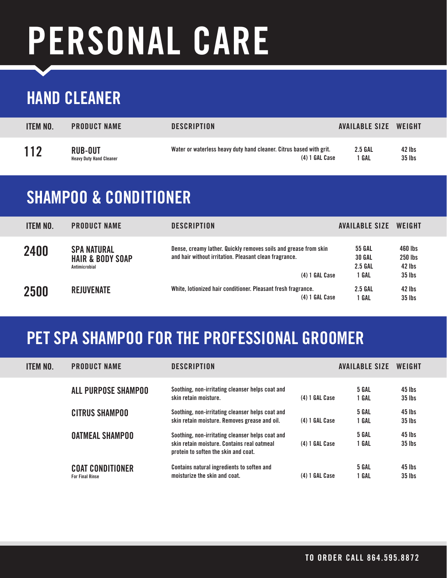### **Personal care**

#### **HAND CLEANER**

| <b>ITEM NO.</b> | <b>PRODUCT NAME</b>            | <b>DESCRIPTION</b>                                                  | <b>AVAILABLE SIZE WEIGHT</b> |          |
|-----------------|--------------------------------|---------------------------------------------------------------------|------------------------------|----------|
| <b>112</b>      | <b>RUB-OUT</b>                 | Water or waterless heavy duty hand cleaner. Citrus based with grit. | $2.5$ GAL                    | 42 lbs   |
|                 | <b>Heavy Duty Hand Cleaner</b> | $(4)$ 1 GAL Case                                                    | GAL                          | $35$ lbs |

#### **Shampoo & conditioner**

| <b>ITEM NO.</b> | <b>PRODUCT NAME</b>                                                | <b>DESCRIPTION</b>                                                                                                                             | <b>AVAILABLE SIZE</b>                              | WEIGHT                                          |
|-----------------|--------------------------------------------------------------------|------------------------------------------------------------------------------------------------------------------------------------------------|----------------------------------------------------|-------------------------------------------------|
| 2400            | <b>SPA NATURAL</b><br><b>HAIR &amp; BODY SOAP</b><br>Antimicrobial | Dense, creamy lather. Quickly removes soils and grease from skin<br>and hair without irritation. Pleasant clean fragrance.<br>$(4)$ 1 GAL Case | <b>55 GAL</b><br><b>30 GAL</b><br>2.5 GAL<br>I GAL | 460 lbs<br><b>250 lbs</b><br>42 lbs<br>$35$ lbs |
| 2500            | <b>REJUVENATE</b>                                                  | White, lotionized hair conditioner. Pleasant fresh fragrance.<br>$(4)$ 1 GAL Case                                                              | <b>2.5 GAL</b><br>  GAL                            | 42 lbs<br>$35$ lbs                              |

#### **Pet spa shampoo for the professional groomer**

| <b>ITEM NO.</b> | <b>PRODUCT NAME</b>                               | <b>DESCRIPTION</b>                                                                                                                      |                  | <b>AVAILABLE SIZE</b> | WEIGHT             |
|-----------------|---------------------------------------------------|-----------------------------------------------------------------------------------------------------------------------------------------|------------------|-----------------------|--------------------|
|                 | ALL PURPOSE SHAMPOO                               | Soothing, non-irritating cleanser helps coat and<br>skin retain moisture.                                                               | $(4)$ 1 GAL Case | 5 GAL<br>1 GAL        | 45 lbs<br>$35$ lbs |
|                 | <b>CITRUS SHAMPOO</b>                             | Soothing, non-irritating cleanser helps coat and<br>skin retain moisture. Removes grease and oil.                                       | $(4)$ 1 GAL Case | 5 GAL<br>1 GAL        | 45 lbs<br>$35$ lbs |
|                 | <b>OATMEAL SHAMPOO</b>                            | Soothing, non-irritating cleanser helps coat and<br>skin retain moisture. Contains real oatmeal<br>protein to soften the skin and coat. | $(4)$ 1 GAL Case | 5 GAL<br>1 GAL        | 45 lbs<br>$35$ lbs |
|                 | <b>COAT CONDITIONER</b><br><b>For Final Rinse</b> | Contains natural ingredients to soften and<br>moisturize the skin and coat.                                                             | $(4)$ 1 GAL Case | 5 GAL<br>1 GAL        | 45 lbs<br>$35$ lbs |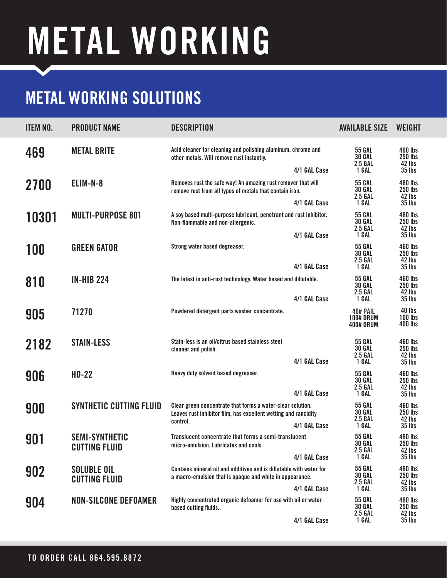### **Metal working**

#### **metal working solutions**

| <b>ITEM NO.</b> | <b>PRODUCT NAME</b>                           | <b>DESCRIPTION</b>                                                                                                                        |              | <b>AVAILABLE SIZE</b>                                  | <b>WEIGHT</b>                                               |
|-----------------|-----------------------------------------------|-------------------------------------------------------------------------------------------------------------------------------------------|--------------|--------------------------------------------------------|-------------------------------------------------------------|
| 469             | <b>METAL BRITE</b>                            | Acid cleaner for cleaning and polishing aluminum, chrome and<br>other metals. Will remove rust instantly.                                 | 4/1 GAL Case | <b>55 GAL</b><br><b>30 GAL</b><br>2.5 GAL<br>1 GAL     | <b>460 lbs</b><br><b>250 lbs</b><br>42 lbs<br>35 lbs        |
| 2700            | ELIM-N-8                                      | Removes rust the safe way! An amazing rust remover that will<br>remove rust from all types of metals that contain iron.                   | 4/1 GAL Case | <b>55 GAL</b><br><b>30 GAL</b><br>2.5 GAL<br>1 GAL     | <b>460 lbs</b><br><b>250 lbs</b><br>42 lbs<br>35 lbs        |
| 10301           | <b>MULTI-PURPOSE 801</b>                      | A soy based multi-purpose lubricant, penetrant and rust inhibitor.<br>Non-flammable and non-allergenic.                                   | 4/1 GAL Case | <b>55 GAL</b><br><b>30 GAL</b><br>2.5 GAL<br>1 GAL     | <b>460 lbs</b><br><b>250 lbs</b><br>42 lbs<br>35 lbs        |
| 100             | <b>GREEN GATOR</b>                            | Strong water based degreaser.                                                                                                             | 4/1 GAL Case | <b>55 GAL</b><br><b>30 GAL</b><br>2.5 GAL<br>1 GAL     | <b>460 lbs</b><br>250 lbs<br>42 lbs<br>35 lbs               |
| 810             | <b>IN-HIB 224</b>                             | The latest in anti-rust technology. Water based and dillutable.                                                                           | 4/1 GAL Case | <b>55 GAL</b><br><b>30 GAL</b><br>2.5 GAL<br>1 GAL     | <b>460 lbs</b><br><b>250 lbs</b><br>42 lbs<br><b>35 lbs</b> |
| 905             | 71270                                         | Powdered detergent parts washer concentrate.                                                                                              |              | <b>40# PAIL</b><br><b>100# DRUM</b><br><b>400#DRUM</b> | 40 lbs<br><b>100 lbs</b><br><b>400 lbs</b>                  |
| 2182            | <b>STAIN-LESS</b>                             | Stain-less is an oil/citrus based stainless steel<br>cleaner and polish.                                                                  | 4/1 GAL Case | <b>55 GAL</b><br><b>30 GAL</b><br>2.5 GAL<br>1 GAL     | <b>460 lbs</b><br><b>250 lbs</b><br>42 lbs<br>35 lbs        |
| 906             | $HD-22$                                       | Heavy duty solvent based degreaser.                                                                                                       | 4/1 GAL Case | <b>55 GAL</b><br><b>30 GAL</b><br>2.5 GAL<br>1 GAL     | <b>460 lbs</b><br><b>250 lbs</b><br>42 lbs<br>35 lbs        |
| 900             | <b>SYNTHETIC CUTTING FLUID</b>                | Clear green concentrate that forms a water-clear solution.<br>Leaves rust inhibitor film, has excellent wetting and rancidity<br>control. | 4/1 GAL Case | <b>55 GAL</b><br><b>30 GAL</b><br>2.5 GAL<br>1 GAL     | <b>460 lbs</b><br><b>250 lbs</b><br>42 lbs<br>35 lbs        |
| 901             | <b>SEMI-SYNTHETIC</b><br><b>CUTTING FLUID</b> | Translucent concentrate that forms a semi-translucent<br>micro-emulsion. Lubricates and cools.                                            | 4/1 GAL Case | <b>55 GAL</b><br><b>30 GAL</b><br>2.5 GAL<br>1 GAL     | <b>460 lbs</b><br><b>250 lbs</b><br>42 lbs<br>35 lbs        |
| 902             | <b>SOLUBLE OIL</b><br><b>CUTTING FLUID</b>    | Contains mineral oil and additives and is dillutable with water for<br>a macro-emulsion that is opaque and white in appearance.           | 4/1 GAL Case | <b>55 GAL</b><br><b>30 GAL</b><br>2.5 GAL<br>1 GAL     | <b>460 lbs</b><br><b>250 lbs</b><br>42 lbs<br>35 lbs        |
| 904             | <b>NON-SILCONE DEFOAMER</b>                   | Highly concentrated organic defoamer for use with oil or water<br>based cutting fluids                                                    | 4/1 GAL Case | <b>55 GAL</b><br><b>30 GAL</b><br>2.5 GAL<br>1 GAL     | <b>460 lbs</b><br><b>250 lbs</b><br>42 lbs<br>35 lbs        |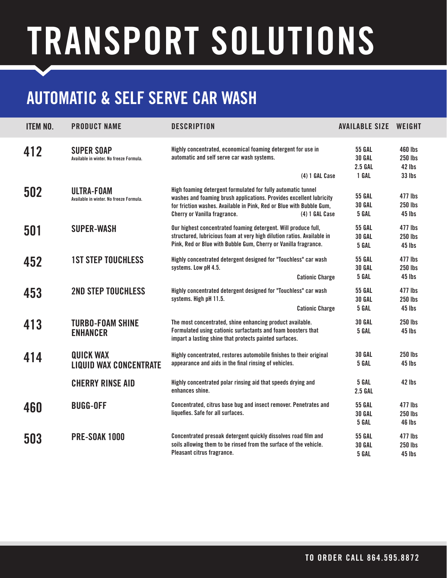### **transport solutions**

#### **automatic & self serve car wash**

| <b>ITEM NO.</b> | <b>PRODUCT NAME</b>                                          | <b>DESCRIPTION</b>                                                                                                                                                                                                                                              | <b>AVAILABLE SIZE WEIGHT</b>                       |                                                      |
|-----------------|--------------------------------------------------------------|-----------------------------------------------------------------------------------------------------------------------------------------------------------------------------------------------------------------------------------------------------------------|----------------------------------------------------|------------------------------------------------------|
| 412             | <b>SUPER SOAP</b><br>Available in winter. No freeze Formula. | Highly concentrated, economical foaming detergent for use in<br>automatic and self serve car wash systems.<br>$(4)$ 1 GAL Case                                                                                                                                  | <b>55 GAL</b><br><b>30 GAL</b><br>2.5 GAL<br>1 GAL | <b>460 lbs</b><br><b>250 lbs</b><br>42 lbs<br>33 lbs |
| 502             | <b>ULTRA-FOAM</b><br>Available in winter. No freeze Formula. | High foaming detergent formulated for fully automatic tunnel<br>washes and foaming brush applications. Provides excellent lubricity<br>for friction washes. Available in Pink, Red or Blue with Bubble Gum,<br>Cherry or Vanilla fragrance.<br>$(4)$ 1 GAL Case | <b>55 GAL</b><br><b>30 GAL</b><br><b>5 GAL</b>     | 477 lbs<br><b>250 lbs</b><br>45 lbs                  |
| 501             | <b>SUPER-WASH</b>                                            | Our highest concentrated foaming detergent. Will produce full,<br>structured, lubricious foam at very high dilution ratios. Available in<br>Pink, Red or Blue with Bubble Gum, Cherry or Vanilla fragrance.                                                     | <b>55 GAL</b><br><b>30 GAL</b><br><b>5 GAL</b>     | 477 lbs<br><b>250 lbs</b><br>45 lbs                  |
| 452             | <b>1ST STEP TOUCHLESS</b>                                    | Highly concentrated detergent designed for "Touchless" car wash<br>systems. Low pH 4.5.<br><b>Cationic Charge</b>                                                                                                                                               | <b>55 GAL</b><br><b>30 GAL</b><br>5 GAL            | 477 lbs<br><b>250 lbs</b><br>45 lbs                  |
| 453             | <b>2ND STEP TOUCHLESS</b>                                    | Highly concentrated detergent designed for "Touchless" car wash<br>systems. High pH 11.5.<br><b>Cationic Charge</b>                                                                                                                                             | <b>55 GAL</b><br><b>30 GAL</b><br>5 GAL            | 477 lbs<br><b>250 lbs</b><br>45 lbs                  |
| 413             | <b>TURBO-FOAM SHINE</b><br><b>ENHANCER</b>                   | The most concentrated, shine enhancing product available.<br>Formulated using cationic surfactants and foam boosters that<br>impart a lasting shine that protects painted surfaces.                                                                             | <b>30 GAL</b><br><b>5 GAL</b>                      | <b>250 lbs</b><br>45 lbs                             |
| 414             | QUICK WAX<br><b>LIQUID WAX CONCENTRATE</b>                   | Highly concentrated, restores automobile finishes to their original<br>appearance and aids in the final rinsing of vehicles.                                                                                                                                    | <b>30 GAL</b><br>5 GAL                             | <b>250 lbs</b><br>45 lbs                             |
|                 | <b>CHERRY RINSE AID</b>                                      | Highly concentrated polar rinsing aid that speeds drying and<br>enhances shine.                                                                                                                                                                                 | <b>5 GAL</b><br>2.5 GAL                            | 42 lbs                                               |
| 460             | <b>BUGG-OFF</b>                                              | Concentrated, citrus base bug and insect remover. Penetrates and<br>liquefies. Safe for all surfaces.                                                                                                                                                           | <b>55 GAL</b><br><b>30 GAL</b><br>5 GAL            | 477 lbs<br><b>250 lbs</b><br>46 lbs                  |
| 503             | <b>PRE-SOAK 1000</b>                                         | Concentrated presoak detergent quickly dissolves road film and<br>soils allowing them to be rinsed from the surface of the vehicle.<br>Pleasant citrus fragrance.                                                                                               | <b>55 GAL</b><br><b>30 GAL</b><br>5 GAL            | 477 lbs<br><b>250 lbs</b><br>45 lbs                  |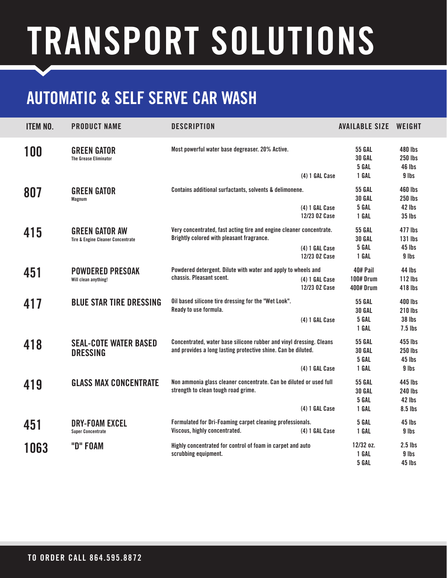### **transport solutions**

#### **automatic & self serve car wash**

| <b>ITEM NO.</b> | <b>PRODUCT NAME</b>                                | <b>DESCRIPTION</b>                                                  | <b>AVAILABLE SIZE WEIGHT</b>            |                                            |
|-----------------|----------------------------------------------------|---------------------------------------------------------------------|-----------------------------------------|--------------------------------------------|
| 100             | <b>GREEN GATOR</b><br><b>The Grease Eliminator</b> | Most powerful water base degreaser. 20% Active.                     | <b>55 GAL</b><br><b>30 GAL</b><br>5 GAL | <b>480 lbs</b><br><b>250 lbs</b><br>46 lbs |
|                 |                                                    | $(4)$ 1 GAL Case                                                    | 1 GAL                                   | 9 lbs                                      |
| 807             | <b>GREEN GATOR</b>                                 | Contains additional surfactants, solvents & delimonene.             | <b>55 GAL</b>                           | <b>460 lbs</b>                             |
|                 | Magnum                                             |                                                                     | <b>30 GAL</b>                           | <b>250 lbs</b>                             |
|                 |                                                    | $(4)$ 1 GAL Case                                                    | 5 GAL                                   | 42 lbs                                     |
|                 |                                                    | 12/23 0Z Case                                                       | 1 GAL                                   | 35 lbs                                     |
| 415             | <b>GREEN GATOR AW</b>                              | Very concentrated, fast acting tire and engine cleaner concentrate. | <b>55 GAL</b>                           | 477 lbs                                    |
|                 | <b>Tire &amp; Engine Cleaner Concentrate</b>       | Brightly colored with pleasant fragrance.                           | <b>30 GAL</b>                           | 131 lbs                                    |
|                 |                                                    | $(4)$ 1 GAL Case                                                    | 5 GAL                                   | 45 lbs                                     |
|                 |                                                    | 12/23 0Z Case                                                       | 1 GAL                                   | 9 lbs                                      |
| 451             | <b>POWDERED PRESOAK</b>                            | Powdered detergent. Dilute with water and apply to wheels and       | 40# Pail                                | 44 lbs                                     |
|                 | Will clean anything!                               | chassis. Pleasant scent.<br>$(4)$ 1 GAL Case                        | <b>100# Drum</b>                        | $112$ lbs                                  |
|                 |                                                    | 12/23 0Z Case                                                       | <b>400# Drum</b>                        | <b>418 lbs</b>                             |
| 417             | <b>BLUE STAR TIRE DRESSING</b>                     | Oil based silicone tire dressing for the "Wet Look".                | <b>55 GAL</b>                           | <b>400 lbs</b>                             |
|                 |                                                    | Ready to use formula.                                               | <b>30 GAL</b>                           | <b>210 lbs</b>                             |
|                 |                                                    | $(4)$ 1 GAL Case                                                    | 5 GAL                                   | <b>38 lbs</b>                              |
|                 |                                                    |                                                                     | 1 GAL                                   | $7.5$ lbs                                  |
| 418             | <b>SEAL-COTE WATER BASED</b>                       | Concentrated, water base silicone rubber and vinyl dressing. Cleans | <b>55 GAL</b>                           | 455 lbs                                    |
|                 | <b>DRESSING</b>                                    | and provides a long lasting protective shine. Can be diluted.       | <b>30 GAL</b>                           | <b>250 lbs</b>                             |
|                 |                                                    |                                                                     | 5 GAL                                   | 45 lbs                                     |
|                 |                                                    | $(4)$ 1 GAL Case                                                    | 1 GAL                                   | 9 lbs                                      |
| 419             | <b>GLASS MAX CONCENTRATE</b>                       | Non ammonia glass cleaner concentrate. Can be diluted or used full  | <b>55 GAL</b>                           | 445 lbs                                    |
|                 |                                                    | strength to clean tough road grime.                                 | <b>30 GAL</b>                           | <b>240 lbs</b>                             |
|                 |                                                    |                                                                     | 5 GAL                                   | 42 lbs                                     |
|                 |                                                    | $(4)$ 1 GAL Case                                                    | 1 GAL                                   | 8.5 lbs                                    |
| 451             | <b>DRY-FOAM EXCEL</b>                              | Formulated for Dri-Foaming carpet cleaning professionals.           | 5 GAL                                   | 45 lbs                                     |
|                 | <b>Super Concentrate</b>                           | Viscous, highly concentrated.<br>$(4)$ 1 GAL Case                   | 1 GAL                                   | 9 lbs                                      |
| 1063            | "D" FOAM                                           | Highly concentrated for control of foam in carpet and auto          | 12/32 oz.                               | $2.5$ lbs                                  |
|                 |                                                    | scrubbing equipment.                                                | 1 GAL                                   | 9 lbs                                      |
|                 |                                                    |                                                                     | 5 GAL                                   | 45 lbs                                     |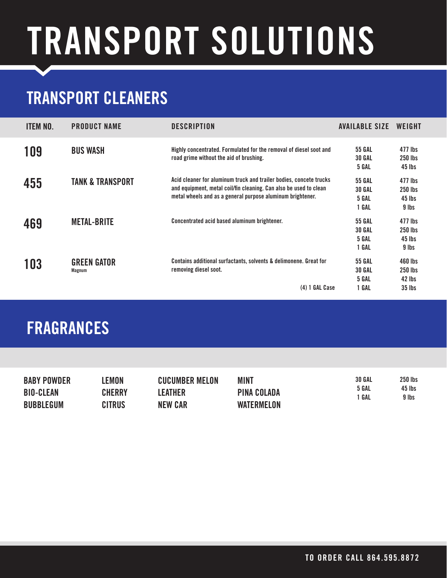### **transport solutions**

#### **Transport Cleaners**

| ITEM NO. | <b>PRODUCT NAME</b>          | DESCRIPTION                                                                                                                                                                                           | <b>AVAILABLE SIZE</b>                            | WEIGHT                                       |
|----------|------------------------------|-------------------------------------------------------------------------------------------------------------------------------------------------------------------------------------------------------|--------------------------------------------------|----------------------------------------------|
| 109      | <b>BUS WASH</b>              | Highly concentrated. Formulated for the removal of diesel soot and<br>road grime without the aid of brushing.                                                                                         | <b>55 GAL</b><br><b>30 GAL</b><br>5 GAL          | 477 lbs<br><b>250 lbs</b><br>45 lbs          |
| 455      | <b>TANK &amp; TRANSPORT</b>  | Acid cleaner for aluminum truck and trailer bodies, concete trucks<br>and equipment, metal coil/fin cleaning. Can also be used to clean<br>metal wheels and as a general purpose aluminum brightener. | <b>55 GAL</b><br><b>30 GAL</b><br>5 GAL<br>1 GAL | 477 lbs<br><b>250 lbs</b><br>45 lbs<br>9 lbs |
| 469      | <b>METAL-BRITE</b>           | Concentrated acid based aluminum brightener.                                                                                                                                                          | <b>55 GAL</b><br><b>30 GAL</b><br>5 GAL<br>1 GAL | 477 lbs<br><b>250 lbs</b><br>45 lbs<br>9 lbs |
| 103      | <b>GREEN GATOR</b><br>Magnum | Contains additional surfactants, solvents & delimonene. Great for<br>removing diesel soot.<br>$(4)$ 1 GAL Case                                                                                        | <b>55 GAL</b><br><b>30 GAL</b><br>5 GAL<br>1 GAL | 460 lbs<br>250 lbs<br>42 lbs<br>$35$ lbs     |

#### **Fragrances**

| <b>BABY POWDER</b> | EMON.         | <b>CUCUMBER MELON</b> | <b>MINT</b>       | <b>30 GAL</b> | <b>250 lbs</b> |
|--------------------|---------------|-----------------------|-------------------|---------------|----------------|
| <b>BIO-CLEAN</b>   | <b>CHERRY</b> | LEATHER               | PINA COLADA       | 5 GAL         | 45 lbs         |
| <b>BUBBLEGUM</b>   | CITRUS        | <b>NEW CAR</b>        | <b>WATERMELON</b> | GAL           | 9 lbs          |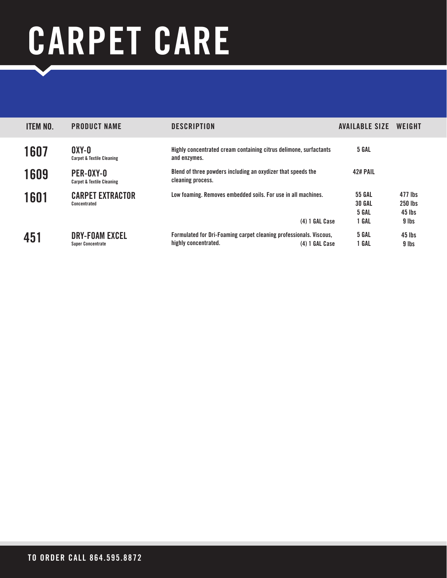### **Carpet care**

| <b>ITEM NO.</b> | <b>PRODUCT NAME</b>                               | <b>DESCRIPTION</b>                                                                                             | <b>AVAILABLE SIZE</b>                            | WEIGHT                                         |
|-----------------|---------------------------------------------------|----------------------------------------------------------------------------------------------------------------|--------------------------------------------------|------------------------------------------------|
| 1607            | OXY-O<br><b>Carpet &amp; Textile Cleaning</b>     | Highly concentrated cream containing citrus delimone, surfactants<br>and enzymes.                              | 5 GAL                                            |                                                |
| 1609            | PER-OXY-O<br><b>Carpet &amp; Textile Cleaning</b> | Blend of three powders including an oxydizer that speeds the<br>cleaning process.                              | 42# PAIL                                         |                                                |
| 1601            | <b>CARPET EXTRACTOR</b><br>Concentrated           | Low foaming. Removes embedded soils. For use in all machines.<br>$(4)$ 1 GAL Case                              | <b>55 GAL</b><br><b>30 GAL</b><br>5 GAL<br>1 GAL | 477 lbs<br><b>250 lbs</b><br>45 lbs<br>$9$ lbs |
| 451             | <b>DRY-FOAM EXCEL</b><br><b>Super Concentrate</b> | Formulated for Dri-Foaming carpet cleaning professionals. Viscous,<br>highly concentrated.<br>$(4)$ 1 GAL Case | 5 GAL<br>GAL                                     | 45 lbs<br>$9$ lbs                              |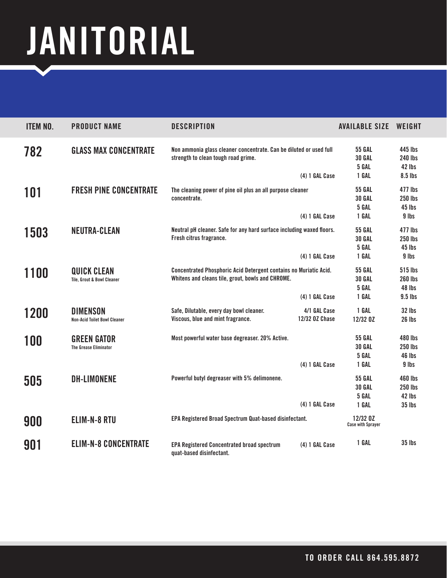## **Janitorial**

| <b>ITEM NO.</b> | <b>PRODUCT NAME</b>                                         | <b>DESCRIPTION</b>                                                                                                     |                                | <b>AVAILABLE SIZE WEIGHT</b>                     |                                                         |
|-----------------|-------------------------------------------------------------|------------------------------------------------------------------------------------------------------------------------|--------------------------------|--------------------------------------------------|---------------------------------------------------------|
| 782             | <b>GLASS MAX CONCENTRATE</b>                                | Non ammonia glass cleaner concentrate. Can be diluted or used full<br>strength to clean tough road grime.              |                                | <b>55 GAL</b><br><b>30 GAL</b><br>5 GAL          | 445 lbs<br><b>240 lbs</b><br>42 lbs                     |
|                 |                                                             |                                                                                                                        | $(4)$ 1 GAL Case               | 1 GAL                                            | 8.5 lbs                                                 |
| 101             | <b>FRESH PINE CONCENTRATE</b>                               | The cleaning power of pine oil plus an all purpose cleaner<br>concentrate.                                             |                                | <b>55 GAL</b><br><b>30 GAL</b><br>5 GAL          | <b>477 lbs</b><br><b>250 lbs</b><br>45 lbs              |
|                 |                                                             |                                                                                                                        | $(4)$ 1 GAL Case               | 1 GAL                                            | 9 lbs                                                   |
| 1503            | <b>NEUTRA-CLEAN</b>                                         | Neutral pH cleaner. Safe for any hard surface including waxed floors.<br>Fresh citrus fragrance.                       |                                | <b>55 GAL</b><br><b>30 GAL</b><br>5 GAL          | 477 lbs<br><b>250 lbs</b><br>45 lbs                     |
|                 |                                                             |                                                                                                                        | $(4)$ 1 GAL Case               | 1 GAL                                            | 9 lbs                                                   |
| 1100            | <b>QUICK CLEAN</b><br><b>Tile, Grout &amp; Bowl Cleaner</b> | Concentrated Phosphoric Acid Detergent contains no Muriatic Acid.<br>Whitens and cleans tile, grout, bowls and CHROME. | $(4)$ 1 GAL Case               | <b>55 GAL</b><br><b>30 GAL</b><br>5 GAL<br>1 GAL | <b>515 lbs</b><br><b>260 lbs</b><br>48 lbs<br>$9.5$ lbs |
|                 |                                                             |                                                                                                                        |                                |                                                  |                                                         |
| 1200            | <b>DIMENSON</b><br><b>Non-Acid Toilet Bowl Cleaner</b>      | Safe, Dilutable, every day bowl cleaner.<br>Viscous, blue and mint fragrance.                                          | 4/1 GAL Case<br>12/32 0Z Chase | 1 GAL<br>12/32 OZ                                | 32 lbs<br>26 lbs                                        |
| 100             | <b>GREEN GATOR</b><br><b>The Grease Eliminator</b>          | Most powerful water base degreaser. 20% Active.                                                                        |                                | <b>55 GAL</b><br><b>30 GAL</b><br>5 GAL          | <b>480 lbs</b><br><b>250 lbs</b><br>46 lbs              |
|                 |                                                             |                                                                                                                        | $(4)$ 1 GAL Case               | 1 GAL                                            | 9 lbs                                                   |
| 505             | <b>DH-LIMONENE</b>                                          | Powerful butyl degreaser with 5% delimonene.                                                                           |                                | <b>55 GAL</b><br><b>30 GAL</b><br>5 GAL          | <b>460 lbs</b><br><b>250 lbs</b><br>42 lbs              |
|                 |                                                             |                                                                                                                        | $(4)$ 1 GAL Case               | 1 GAL                                            | <b>35 lbs</b>                                           |
| 900             | <b>ELIM-N-8 RTU</b>                                         | EPA Registered Broad Spectrum Quat-based disinfectant.                                                                 |                                | 12/32 0Z<br><b>Case with Sprayer</b>             |                                                         |
| 901             | <b>ELIM-N-8 CONCENTRATE</b>                                 | <b>EPA Registered Concentrated broad spectrum</b><br>auat-based disinfectant.                                          | $(4)$ 1 GAL Case               | 1 GAL                                            | <b>35 lbs</b>                                           |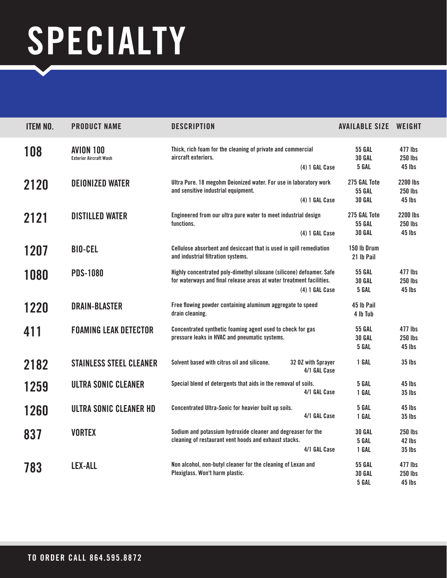### **specialty**

| <b>ITEM NO.</b> | <b>PRODUCT NAME</b>                               | <b>DESCRIPTION</b>                                                                                                                           |                                    | <b>AVAILABLE SIZE WEIGHT</b>                   |                                             |
|-----------------|---------------------------------------------------|----------------------------------------------------------------------------------------------------------------------------------------------|------------------------------------|------------------------------------------------|---------------------------------------------|
| 108             | <b>AVION 100</b><br><b>Exterior Aircraft Wash</b> | Thick, rich foam for the cleaning of private and commercial<br>aircraft exteriors.                                                           | $(4)$ 1 GAL Case                   | <b>55 GAL</b><br><b>30 GAL</b><br>5 GAL        | 477 lbs<br><b>250 lbs</b><br>45 lbs         |
| 2120            | <b>DEIONIZED WATER</b>                            | Ultra Pure. 18 megohm Deionized water. For use in laboratory work<br>and sensitive industrial equipment.                                     | $(4)$ 1 GAL Case                   | 275 GAL Tote<br><b>55 GAL</b><br><b>30 GAL</b> | <b>2200 lbs</b><br><b>250 lbs</b><br>45 lbs |
| 2121            | <b>DISTILLED WATER</b>                            | Engineered from our ultra pure water to meet industrial design<br>functions.                                                                 | $(4)$ 1 GAL Case                   | 275 GAL Tote<br><b>55 GAL</b><br><b>30 GAL</b> | <b>2200 lbs</b><br><b>250 lbs</b><br>45 lbs |
| 1207            | <b>BIO-CEL</b>                                    | Cellulose absorbent and desiccant that is used in spill remediation<br>and industrial filtration systems.                                    |                                    | 150 lb Drum<br>21 Ib Pail                      |                                             |
| 1080            | <b>PDS-1080</b>                                   | Highly concentrated poly-dimethyl siloxane (silicone) defoamer. Safe<br>for waterways and final release areas at water treatment facilities. | $(4)$ 1 GAL Case                   | <b>55 GAL</b><br><b>30 GAL</b><br>5 GAL        | 477 lbs<br><b>250 lbs</b><br>45 lbs         |
| 1220            | <b>DRAIN-BLASTER</b>                              | Free flowing powder containing aluminum aggregate to speed<br>drain cleaning.                                                                |                                    | 45 lb Pail<br>4 lb Tub                         |                                             |
| 411             | <b>FOAMING LEAK DETECTOR</b>                      | Concentrated synthetic foaming agent used to check for gas<br>pressure leaks in HVAC and pneumatic systems.                                  |                                    | <b>55 GAL</b><br><b>30 GAL</b><br>5 GAL        | 477 lbs<br><b>250 lbs</b><br>45 lbs         |
| 2182            | <b>STAINLESS STEEL CLEANER</b>                    | Solvent based with citrus oil and silicone.                                                                                                  | 32 OZ with Sprayer<br>4/1 GAL Case | 1 GAL                                          | <b>35 lbs</b>                               |
| 1259            | <b>ULTRA SONIC CLEANER</b>                        | Special blend of detergents that aids in the removal of soils.                                                                               | 4/1 GAL Case                       | 5 GAL<br>1 GAL                                 | 45 lbs<br><b>35 lbs</b>                     |
| 1260            | <b>ULTRA SONIC CLEANER HD</b>                     | Concentrated Ultra-Sonic for heavier built up soils.                                                                                         | 4/1 GAL Case                       | 5 GAL<br>1 GAL                                 | 45 lbs<br>$35$ lbs                          |
| 837             | <b>VORTEX</b>                                     | Sodium and potassium hydroxide cleaner and degreaser for the<br>cleaning of restaurant vent hoods and exhaust stacks.                        | 4/1 GAL Case                       | <b>30 GAL</b><br>5 GAL<br>1 GAL                | <b>250 lbs</b><br>42 lbs<br><b>35 lbs</b>   |
| 783             | <b>LEX-ALL</b>                                    | Non alcohol, non-butyl cleaner for the cleaning of Lexan and<br>Plexiglass. Won't harm plastic.                                              |                                    | <b>55 GAL</b><br><b>30 GAL</b><br>5 GAL        | 477 lbs<br><b>250 lbs</b><br>45 lbs         |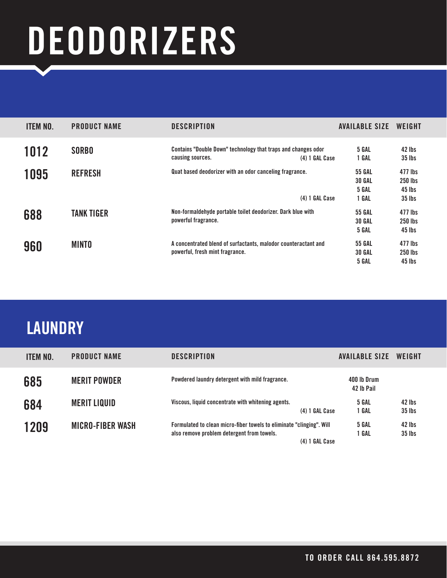### **Deodorizers**

| <b>ITEM NO.</b> | <b>PRODUCT NAME</b> | <b>DESCRIPTION</b>                                                                                    | <b>AVAILABLE SIZE</b>                            | WEIGHT                                          |
|-----------------|---------------------|-------------------------------------------------------------------------------------------------------|--------------------------------------------------|-------------------------------------------------|
| 1012            | <b>SORBO</b>        | Contains "Double Down" technology that traps and changes odor<br>causing sources.<br>$(4)$ 1 GAL Case | 5 GAL<br>1 GAL                                   | 42 lbs<br>$35$ lbs                              |
| 1095            | <b>REFRESH</b>      | Quat based deodorizer with an odor canceling fragrance.<br>$(4)$ 1 GAL Case                           | <b>55 GAL</b><br><b>30 GAL</b><br>5 GAL<br>1 GAL | 477 lbs<br><b>250 lbs</b><br>45 lbs<br>$35$ lbs |
| 688             | <b>TANK TIGER</b>   | Non-formaldehyde portable toilet deodorizer. Dark blue with<br>powerful fragrance.                    | <b>55 GAL</b><br><b>30 GAL</b><br>5 GAL          | 477 lbs<br><b>250 lbs</b><br>45 lbs             |
| 960             | <b>MINTO</b>        | A concentrated blend of surfactants, malodor counteractant and<br>powerful, fresh mint fragrance.     | <b>55 GAL</b><br><b>30 GAL</b><br>5 GAL          | 477 lbs<br><b>250 lbs</b><br>45 lbs             |

#### **Laundry**

| <b>ITEM NO.</b> | <b>PRODUCT NAME</b>     | <b>DESCRIPTION</b>                                                                                                                     | <b>AVAILABLE SIZE</b>     | WEIGHT             |
|-----------------|-------------------------|----------------------------------------------------------------------------------------------------------------------------------------|---------------------------|--------------------|
| 685             | <b>MERIT POWDER</b>     | Powdered laundry detergent with mild fragrance.                                                                                        | 400 lb Drum<br>42 lb Pail |                    |
| 684             | <b>MERIT LIQUID</b>     | Viscous, liquid concentrate with whitening agents.<br>$(4)$ 1 GAL Case                                                                 | 5 GAL<br>1 GAL            | 42 lbs<br>$35$ lbs |
| 1209            | <b>MICRO-FIBER WASH</b> | Formulated to clean micro-fiber towels to eliminate "clinging". Will<br>also remove problem detergent from towels.<br>$(4)$ 1 GAL Case | 5 GAL<br>I GAL            | 42 lbs<br>$35$ lbs |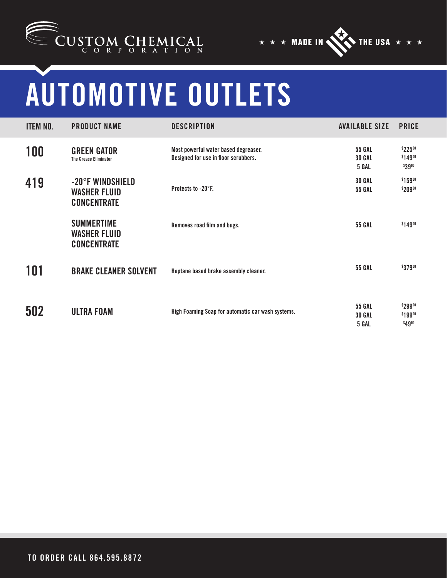



### **AUTOMOTIVE OUTLETS**

| <b>ITEM NO.</b> | <b>PRODUCT NAME</b>                                            | <b>DESCRIPTION</b>                                                           | <b>AVAILABLE SIZE</b>                   | <b>PRICE</b>                     |
|-----------------|----------------------------------------------------------------|------------------------------------------------------------------------------|-----------------------------------------|----------------------------------|
| 100             | <b>GREEN GATOR</b><br><b>The Grease Eliminator</b>             | Most powerful water based degreaser.<br>Designed for use in floor scrubbers. | <b>55 GAL</b><br><b>30 GAL</b><br>5 GAL | $$225^{00}$<br>\$14900<br>\$3900 |
| 419             | -20°F WINDSHIELD<br><b>WASHER FLUID</b><br><b>CONCENTRATE</b>  | Protects to -20°F.                                                           | <b>30 GAL</b><br><b>55 GAL</b>          | \$15900<br>\$20900               |
|                 | <b>SUMMERTIME</b><br><b>WASHER FLUID</b><br><b>CONCENTRATE</b> | Removes road film and bugs.                                                  | <b>55 GAL</b>                           | \$14900                          |
| 101             | <b>BRAKE CLEANER SOLVENT</b>                                   | Heptane based brake assembly cleaner.                                        | <b>55 GAL</b>                           | \$37900                          |
| 502             | <b>ULTRA FOAM</b>                                              | High Foaming Soap for automatic car wash systems.                            | <b>55 GAL</b><br><b>30 GAL</b><br>5 GAL | \$29900<br>\$19900<br>\$4900     |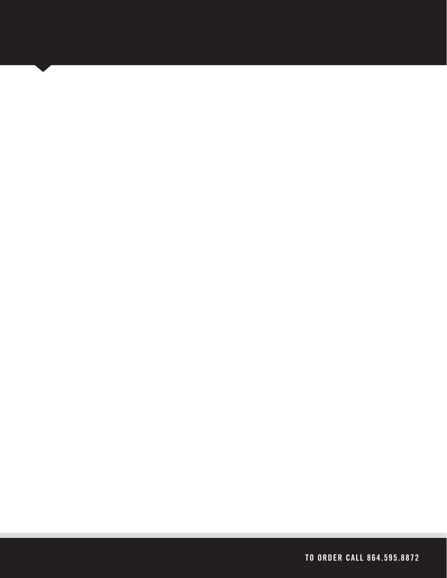**to order call 864.595.8872**